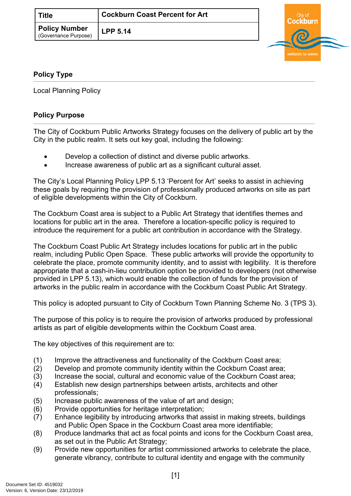| ` Title                                      | <b>Cockburn Coast Percent for Art</b> |
|----------------------------------------------|---------------------------------------|
| <b>Policy Number</b><br>(Governance Purpose) | <b>LPP 5.14</b>                       |



## <span id="page-0-0"></span>**[Policy Type](#page-0-0)**

Local Planning Policy

## **Policy Purpose**

The City of Cockburn Public Artworks Strategy focuses on the delivery of public art by the City in the public realm. It sets out key goal, including the following:

- Develop a collection of distinct and diverse public artworks.
- Increase awareness of public art as a significant cultural asset.

The City's Local Planning Policy LPP 5.13 'Percent for Art' seeks to assist in achieving these goals by requiring the provision of professionally produced artworks on site as part of eligible developments within the City of Cockburn.

The Cockburn Coast area is subject to a Public Art Strategy that identifies themes and locations for public art in the area. Therefore a location-specific policy is required to introduce the requirement for a public art contribution in accordance with the Strategy.

The Cockburn Coast Public Art Strategy includes locations for public art in the public realm, including Public Open Space. These public artworks will provide the opportunity to celebrate the place, promote community identity, and to assist with legibility. It is therefore appropriate that a cash-in-lieu contribution option be provided to developers (not otherwise provided in LPP 5.13), which would enable the collection of funds for the provision of artworks in the public realm in accordance with the Cockburn Coast Public Art Strategy.

This policy is adopted pursuant to City of Cockburn Town Planning Scheme No. 3 (TPS 3).

The purpose of this policy is to require the provision of artworks produced by professional artists as part of eligible developments within the Cockburn Coast area.

The key objectives of this requirement are to:

- (1) Improve the attractiveness and functionality of the Cockburn Coast area;
- (2) Develop and promote community identity within the Cockburn Coast area;
- (3) Increase the social, cultural and economic value of the Cockburn Coast area;
- (4) Establish new design partnerships between artists, architects and other professionals;
- (5) Increase public awareness of the value of art and design;
- (6) Provide opportunities for heritage interpretation;
- (7) Enhance legibility by introducing artworks that assist in making streets, buildings and Public Open Space in the Cockburn Coast area more identifiable;
- (8) Produce landmarks that act as focal points and icons for the Cockburn Coast area, as set out in the Public Art Strategy;
- (9) Provide new opportunities for artist commissioned artworks to celebrate the place, generate vibrancy, contribute to cultural identity and engage with the community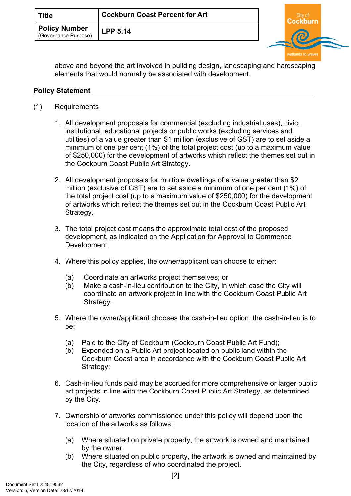| Title                                        | <b>Cockburn Coast Percent for Art</b> |  |  |
|----------------------------------------------|---------------------------------------|--|--|
| <b>Policy Number</b><br>(Governance Purpose) | <b>LPP 5.14</b>                       |  |  |
|                                              |                                       |  |  |

above and beyond the art involved in building design, landscaping and hardscaping elements that would normally be associated with development.

wetlands to wave

## **Policy Statement**

- (1) Requirements
	- 1. All development proposals for commercial (excluding industrial uses), civic, institutional, educational projects or public works (excluding services and utilities) of a value greater than \$1 million (exclusive of GST) are to set aside a minimum of one per cent (1%) of the total project cost (up to a maximum value of \$250,000) for the development of artworks which reflect the themes set out in the Cockburn Coast Public Art Strategy.
	- 2. All development proposals for multiple dwellings of a value greater than \$2 million (exclusive of GST) are to set aside a minimum of one per cent (1%) of the total project cost (up to a maximum value of \$250,000) for the development of artworks which reflect the themes set out in the Cockburn Coast Public Art Strategy.
	- 3. The total project cost means the approximate total cost of the proposed development, as indicated on the Application for Approval to Commence Development.
	- 4. Where this policy applies, the owner/applicant can choose to either:
		- (a) Coordinate an artworks project themselves; or
		- (b) Make a cash-in-lieu contribution to the City, in which case the City will coordinate an artwork project in line with the Cockburn Coast Public Art Strategy.
	- 5. Where the owner/applicant chooses the cash-in-lieu option, the cash-in-lieu is to be:
		- (a) Paid to the City of Cockburn (Cockburn Coast Public Art Fund);
		- (b) Expended on a Public Art project located on public land within the Cockburn Coast area in accordance with the Cockburn Coast Public Art Strategy;
	- 6. Cash-in-lieu funds paid may be accrued for more comprehensive or larger public art projects in line with the Cockburn Coast Public Art Strategy, as determined by the City.
	- 7. Ownership of artworks commissioned under this policy will depend upon the location of the artworks as follows:
		- (a) Where situated on private property, the artwork is owned and maintained by the owner.
		- (b) Where situated on public property, the artwork is owned and maintained by the City, regardless of who coordinated the project.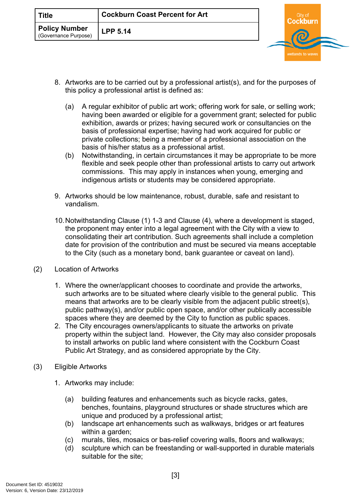| ` Title                                      | <b>Cockburn Coast Percent for Art</b> |  |  |
|----------------------------------------------|---------------------------------------|--|--|
| <b>Policy Number</b><br>(Governance Purpose) | <b>LPP 5.14</b>                       |  |  |
|                                              |                                       |  |  |

- 8. Artworks are to be carried out by a professional artist(s), and for the purposes of this policy a professional artist is defined as:
	- (a) A regular exhibitor of public art work; offering work for sale, or selling work; having been awarded or eligible for a government grant; selected for public exhibition, awards or prizes; having secured work or consultancies on the basis of professional expertise; having had work acquired for public or private collections; being a member of a professional association on the basis of his/her status as a professional artist.
	- (b) Notwithstanding, in certain circumstances it may be appropriate to be more flexible and seek people other than professional artists to carry out artwork commissions. This may apply in instances when young, emerging and indigenous artists or students may be considered appropriate.
- 9. Artworks should be low maintenance, robust, durable, safe and resistant to vandalism.
- 10.Notwithstanding Clause (1) 1-3 and Clause (4), where a development is staged, the proponent may enter into a legal agreement with the City with a view to consolidating their art contribution. Such agreements shall include a completion date for provision of the contribution and must be secured via means acceptable to the City (such as a monetary bond, bank guarantee or caveat on land).
- (2) Location of Artworks
	- 1. Where the owner/applicant chooses to coordinate and provide the artworks, such artworks are to be situated where clearly visible to the general public. This means that artworks are to be clearly visible from the adjacent public street(s), public pathway(s), and/or public open space, and/or other publically accessible spaces where they are deemed by the City to function as public spaces.
	- 2. The City encourages owners/applicants to situate the artworks on private property within the subject land. However, the City may also consider proposals to install artworks on public land where consistent with the Cockburn Coast Public Art Strategy, and as considered appropriate by the City.
- (3) Eligible Artworks
	- 1. Artworks may include:
		- (a) building features and enhancements such as bicycle racks, gates, benches, fountains, playground structures or shade structures which are unique and produced by a professional artist;
		- (b) landscape art enhancements such as walkways, bridges or art features within a garden;
		- (c) murals, tiles, mosaics or bas-relief covering walls, floors and walkways;
		- (d) sculpture which can be freestanding or wall-supported in durable materials suitable for the site;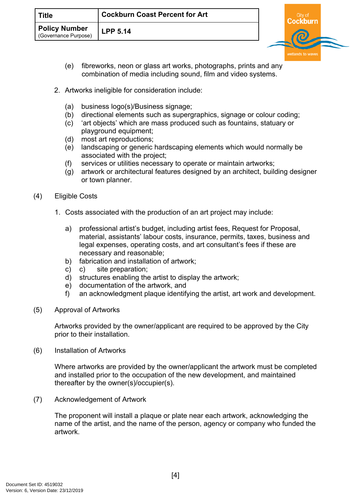| Title                                       | <b>Cockburn Coast Percent for Art</b> |  |  |
|---------------------------------------------|---------------------------------------|--|--|
| <b>Policy Number</b><br>Governance Purpose) | <b>LPP 5.14</b>                       |  |  |
|                                             |                                       |  |  |

- (e) fibreworks, neon or glass art works, photographs, prints and any combination of media including sound, film and video systems.
- 2. Artworks ineligible for consideration include:
	- (a) business logo(s)/Business signage;
	- (b) directional elements such as supergraphics, signage or colour coding;
	- (c) 'art objects' which are mass produced such as fountains, statuary or playground equipment;
	- (d) most art reproductions;
	- (e) landscaping or generic hardscaping elements which would normally be associated with the project;
	- (f) services or utilities necessary to operate or maintain artworks;
	- (g) artwork or architectural features designed by an architect, building designer or town planner.
- (4) Eligible Costs
	- 1. Costs associated with the production of an art project may include:
		- a) professional artist's budget, including artist fees, Request for Proposal, material, assistants' labour costs, insurance, permits, taxes, business and legal expenses, operating costs, and art consultant's fees if these are necessary and reasonable;
		- b) fabrication and installation of artwork;
		- c) c) site preparation;
		- d) structures enabling the artist to display the artwork;
		- e) documentation of the artwork, and
		- f) an acknowledgment plaque identifying the artist, art work and development.
- (5) Approval of Artworks

Artworks provided by the owner/applicant are required to be approved by the City prior to their installation.

(6) Installation of Artworks

Where artworks are provided by the owner/applicant the artwork must be completed and installed prior to the occupation of the new development, and maintained thereafter by the owner(s)/occupier(s).

(7) Acknowledgement of Artwork

The proponent will install a plaque or plate near each artwork, acknowledging the name of the artist, and the name of the person, agency or company who funded the artwork.